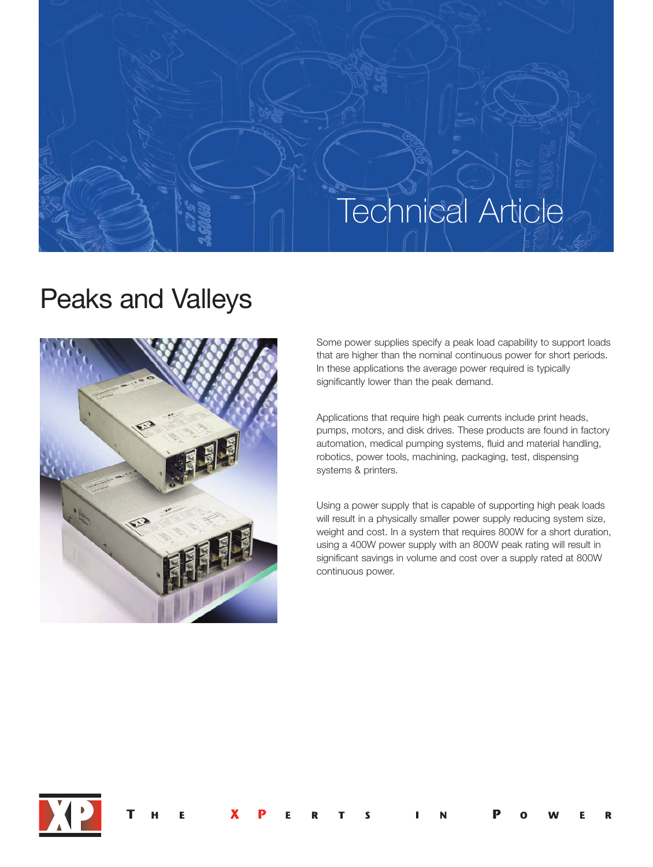# **Technical Article**

## Peaks and Valleys



Some power supplies specify a peak load capability to support loads that are higher than the nominal continuous power for short periods. In these applications the average power required is typically significantly lower than the peak demand.

Applications that require high peak currents include print heads, pumps, motors, and disk drives. These products are found in factory automation, medical pumping systems, fluid and material handling, robotics, power tools, machining, packaging, test, dispensing systems & printers.

Using a power supply that is capable of supporting high peak loads will result in a physically smaller power supply reducing system size, weight and cost. In a system that requires 800W for a short duration, using a 400W power supply with an 800W peak rating will result in significant savings in volume and cost over a supply rated at 800W continuous power.

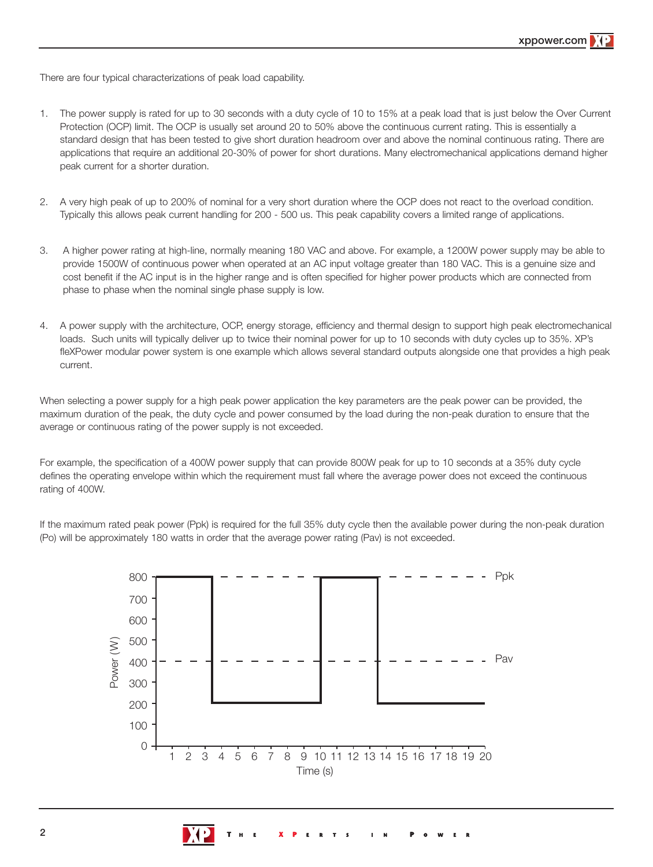There are four typical characterizations of peak load capability.

- 1. The power supply is rated for up to 30 seconds with a duty cycle of 10 to 15% at a peak load that is just below the Over Current Protection (OCP) limit. The OCP is usually set around 20 to 50% above the continuous current rating. This is essentially a standard design that has been tested to give short duration headroom over and above the nominal continuous rating. There are applications that require an additional 20-30% of power for short durations. Many electromechanical applications demand higher peak current for a shorter duration.
- 2. A very high peak of up to 200% of nominal for a very short duration where the OCP does not react to the overload condition. Typically this allows peak current handling for 200 - 500 us. This peak capability covers a limited range of applications.
- 3. A higher power rating at high-line, normally meaning 180 VAC and above. For example, a 1200W power supply may be able to provide 1500W of continuous power when operated at an AC input voltage greater than 180 VAC. This is a genuine size and cost benefit if the AC input is in the higher range and is often specified for higher power products which are connected from phase to phase when the nominal single phase supply is low.
- 4. A power supply with the architecture, OCP, energy storage, efficiency and thermal design to support high peak electromechanical loads. Such units will typically deliver up to twice their nominal power for up to 10 seconds with duty cycles up to 35%. XP's fleXPower modular power system is one example which allows several standard outputs alongside one that provides a high peak current.

When selecting a power supply for a high peak power application the key parameters are the peak power can be provided, the maximum duration of the peak, the duty cycle and power consumed by the load during the non-peak duration to ensure that the average or continuous rating of the power supply is not exceeded.

For example, the specification of a 400W power supply that can provide 800W peak for up to 10 seconds at a 35% duty cycle defines the operating envelope within which the requirement must fall where the average power does not exceed the continuous rating of 400W.

If the maximum rated peak power (Ppk) is required for the full 35% duty cycle then the available power during the non-peak duration (Po) will be approximately 180 watts in order that the average power rating (Pav) is not exceeded.

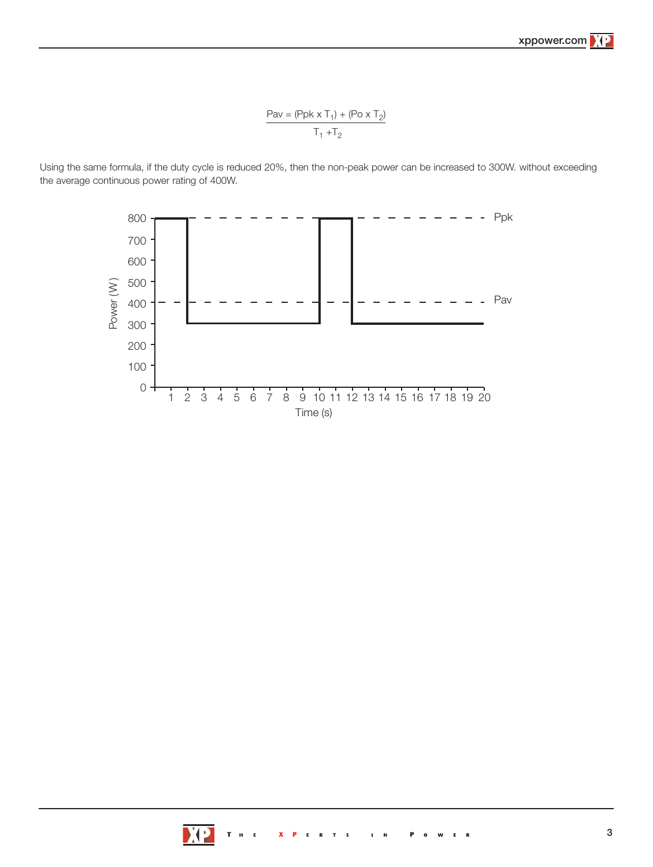Pav = (Ppk  $\times T_1$ ) + (Po  $\times T_2$ )  $T_1 + T_2$ 

Using the same formula, if the duty cycle is reduced 20%, then the non-peak power can be increased to 300W. without exceeding the average continuous power rating of 400W.